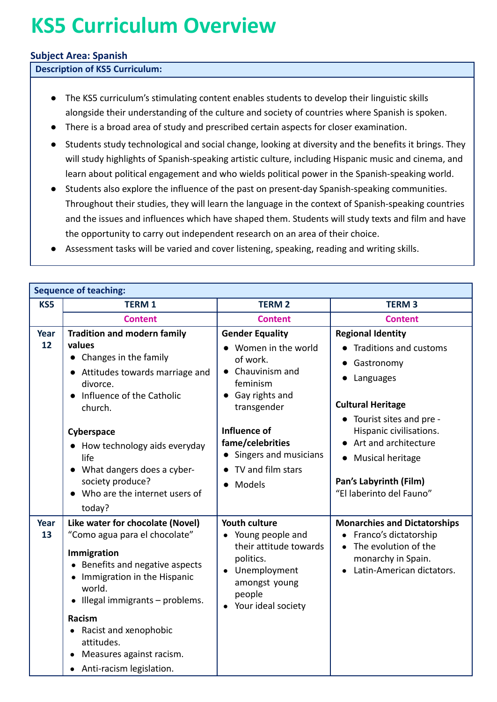## **KS5 Curriculum Overview**

## **Subject Area: Spanish**

**Description of KS5 Curriculum:**

attitudes.

Measures against racism.

● Anti-racism legislation.

- The KS5 curriculum's stimulating content enables students to develop their linguistic skills alongside their understanding of the culture and society of countries where Spanish is spoken.
- There is a broad area of study and prescribed certain aspects for closer examination.
- Students study technological and social change, looking at diversity and the benefits it brings. They will study highlights of Spanish-speaking artistic culture, including Hispanic music and cinema, and learn about political engagement and who wields political power in the Spanish-speaking world.
- Students also explore the influence of the past on present-day Spanish-speaking communities. Throughout their studies, they will learn the language in the context of Spanish-speaking countries and the issues and influences which have shaped them. Students will study texts and film and have the opportunity to carry out independent research on an area of their choice.

| <b>Sequence of teaching:</b> |                                                                                                                                                                                                                                                                                                          |                                                                                                                                                                                                                                                 |                                                                                                                                                                                                                                                                                         |
|------------------------------|----------------------------------------------------------------------------------------------------------------------------------------------------------------------------------------------------------------------------------------------------------------------------------------------------------|-------------------------------------------------------------------------------------------------------------------------------------------------------------------------------------------------------------------------------------------------|-----------------------------------------------------------------------------------------------------------------------------------------------------------------------------------------------------------------------------------------------------------------------------------------|
| KS5                          | <b>TERM 1</b>                                                                                                                                                                                                                                                                                            | <b>TERM 2</b>                                                                                                                                                                                                                                   | <b>TERM3</b>                                                                                                                                                                                                                                                                            |
|                              | <b>Content</b>                                                                                                                                                                                                                                                                                           | <b>Content</b>                                                                                                                                                                                                                                  | <b>Content</b>                                                                                                                                                                                                                                                                          |
| Year<br>12                   | <b>Tradition and modern family</b><br>values<br>• Changes in the family<br>Attitudes towards marriage and<br>divorce.<br>Influence of the Catholic<br>church.<br>Cyberspace<br>How technology aids everyday<br>life<br>• What dangers does a cyber-<br>society produce?<br>Who are the internet users of | <b>Gender Equality</b><br>Women in the world<br>of work.<br>Chauvinism and<br>feminism<br>Gay rights and<br>transgender<br>Influence of<br>fame/celebrities<br>• Singers and musicians<br>TV and film stars<br>$\bullet$<br>Models<br>$\bullet$ | <b>Regional Identity</b><br>Traditions and customs<br>Gastronomy<br>Languages<br><b>Cultural Heritage</b><br>• Tourist sites and pre -<br>Hispanic civilisations.<br>Art and architecture<br>Musical heritage<br>$\bullet$<br><b>Pan's Labyrinth (Film)</b><br>"El laberinto del Fauno" |
| Year<br>13                   | today?<br>Like water for chocolate (Novel)<br>"Como agua para el chocolate"<br>Immigration<br>Benefits and negative aspects<br>Immigration in the Hispanic<br>world.<br>$\bullet$ Illegal immigrants – problems.<br>Racism<br>Racist and xenophobic                                                      | <b>Youth culture</b><br>• Young people and<br>their attitude towards<br>politics.<br>• Unemployment<br>amongst young<br>people<br>Your ideal society                                                                                            | <b>Monarchies and Dictatorships</b><br>Franco's dictatorship<br>The evolution of the<br>$\bullet$<br>monarchy in Spain.<br>Latin-American dictators.                                                                                                                                    |

Assessment tasks will be varied and cover listening, speaking, reading and writing skills.